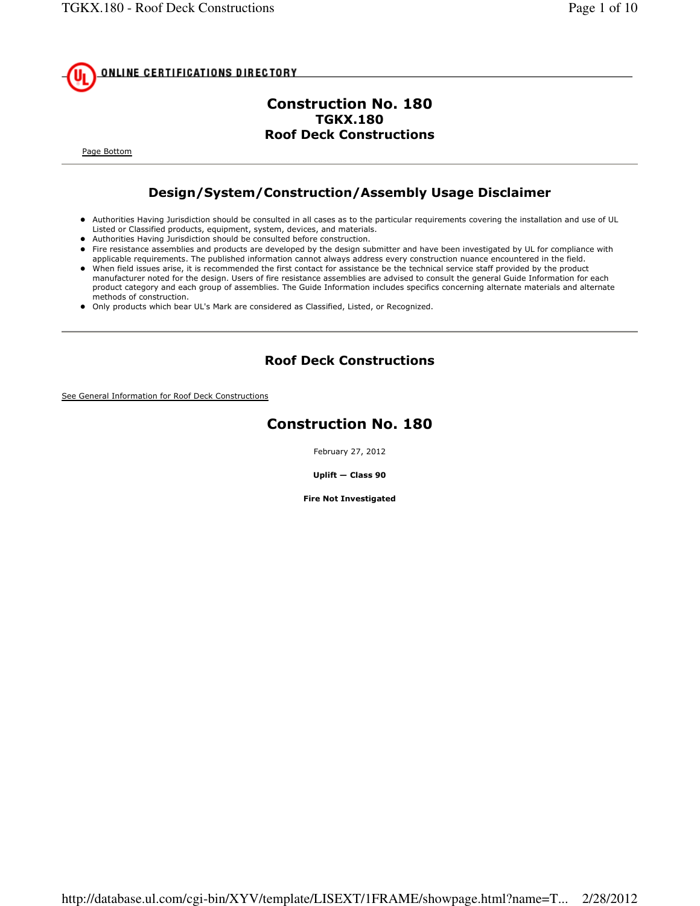

### Construction No. 180 TGKX.180 Roof Deck Constructions

Page Bottom

## Design/System/Construction/Assembly Usage Disclaimer

- Authorities Having Jurisdiction should be consulted in all cases as to the particular requirements covering the installation and use of UL Listed or Classified products, equipment, system, devices, and materials.
- Authorities Having Jurisdiction should be consulted before construction.
- Fire resistance assemblies and products are developed by the design submitter and have been investigated by UL for compliance with applicable requirements. The published information cannot always address every construction nuance encountered in the field.
- When field issues arise, it is recommended the first contact for assistance be the technical service staff provided by the product manufacturer noted for the design. Users of fire resistance assemblies are advised to consult the general Guide Information for each product category and each group of assemblies. The Guide Information includes specifics concerning alternate materials and alternate methods of construction.
- Only products which bear UL's Mark are considered as Classified, Listed, or Recognized.

### Roof Deck Constructions

See General Information for Roof Deck Constructions

# Construction No. 180

February 27, 2012

Uplift — Class 90

Fire Not Investigated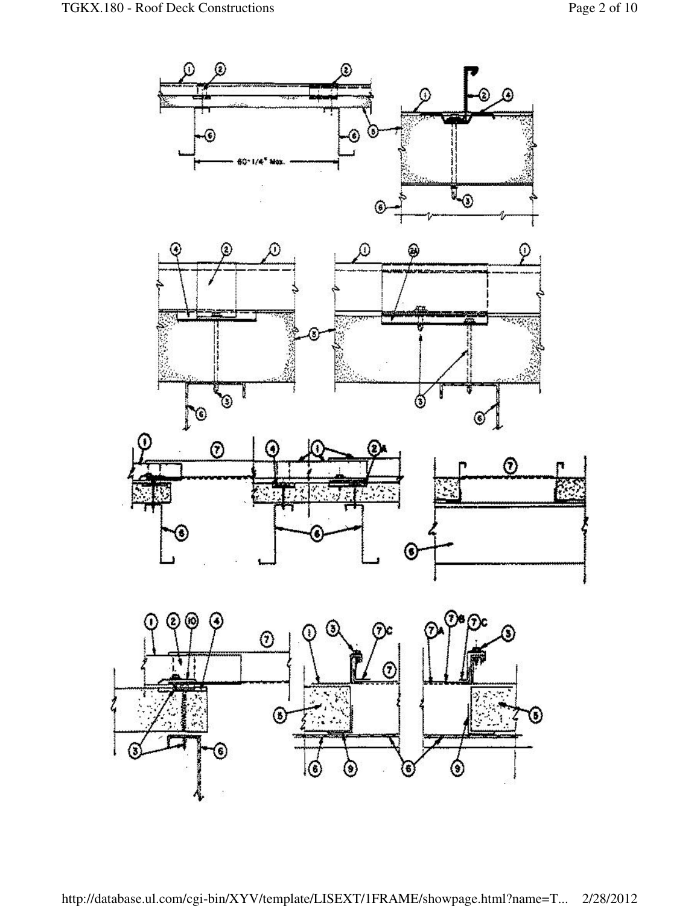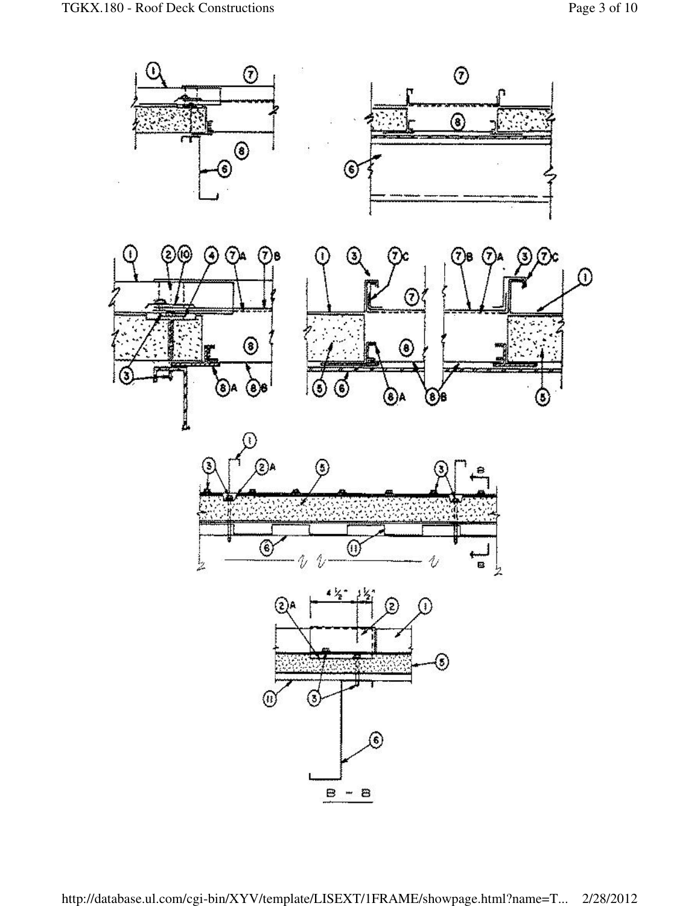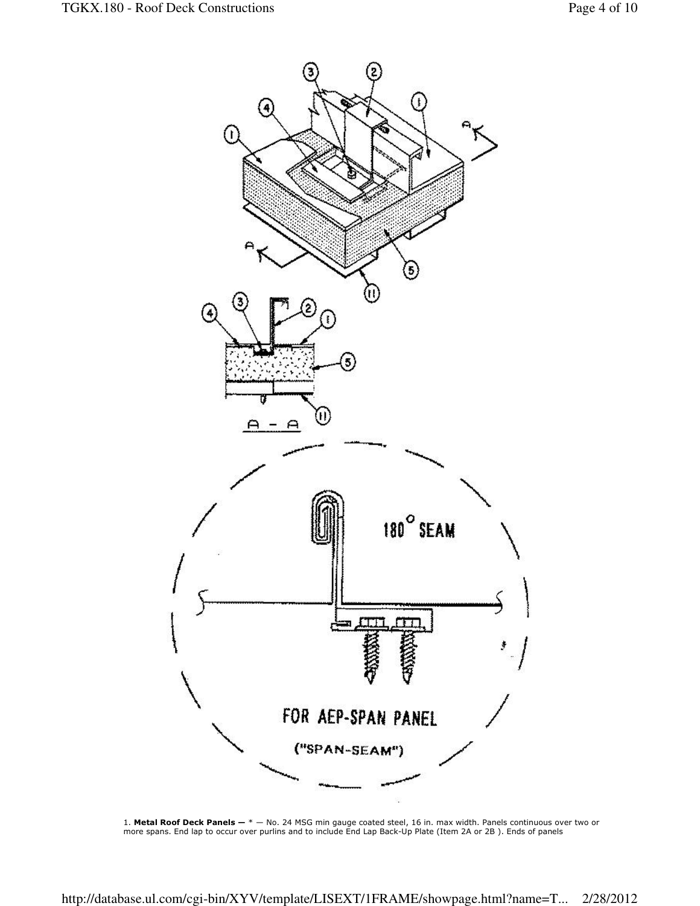

1. Metal Roof Deck Panels —  $*$  — No. 24 MSG min gauge coated steel, 16 in. max width. Panels continuous over two or more spans. End lap to occur over purlins and to include End Lap Back-Up Plate (Item 2A or 2B ). Ends of panels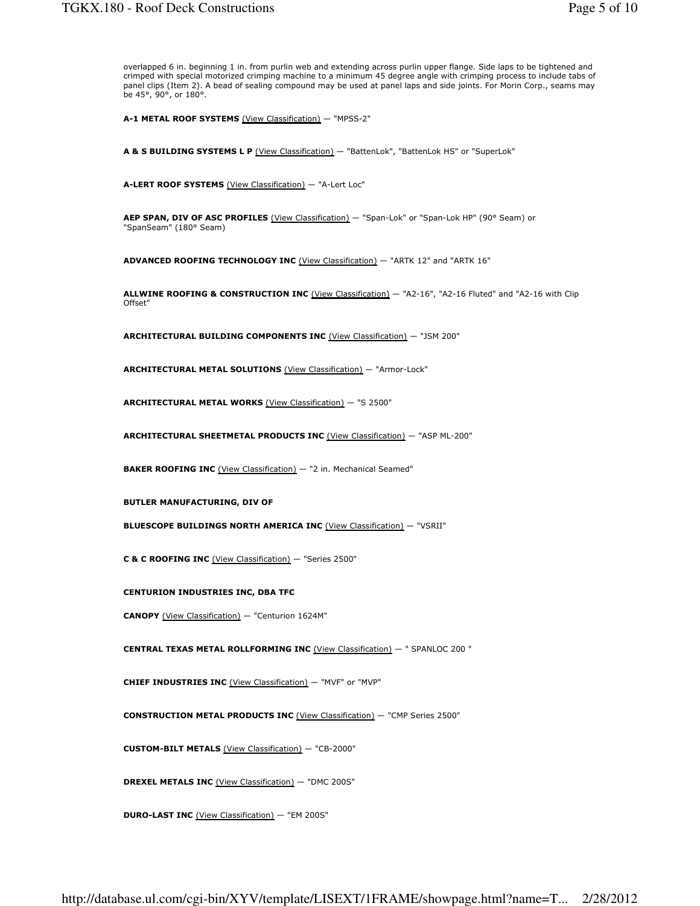overlapped 6 in. beginning 1 in. from purlin web and extending across purlin upper flange. Side laps to be tightened and crimped with special motorized crimping machine to a minimum 45 degree angle with crimping process to include tabs of panel clips (Item 2). A bead of sealing compound may be used at panel laps and side joints. For Morin Corp., seams may be 45°, 90°, or 180°.

A-1 METAL ROOF SYSTEMS (View Classification) - "MPSS-2"

A & S BUILDING SYSTEMS L P (View Classification) - "BattenLok", "BattenLok HS" or "SuperLok"

A-LERT ROOF SYSTEMS (View Classification) — "A-Lert Loc"

AEP SPAN, DIV OF ASC PROFILES (View Classification) - "Span-Lok" or "Span-Lok HP" (90° Seam) or "SpanSeam" (180° Seam)

ADVANCED ROOFING TECHNOLOGY INC (View Classification) - "ARTK 12" and "ARTK 16"

ALLWINE ROOFING & CONSTRUCTION INC (View Classification) - "A2-16", "A2-16 Fluted" and "A2-16 with Clip Offset"

ARCHITECTURAL BUILDING COMPONENTS INC (View Classification) — "JSM 200"

ARCHITECTURAL METAL SOLUTIONS (View Classification) — "Armor-Lock"

ARCHITECTURAL METAL WORKS (View Classification) — "S 2500"

ARCHITECTURAL SHEETMETAL PRODUCTS INC (View Classification) — "ASP ML-200"

BAKER ROOFING INC (View Classification) - "2 in. Mechanical Seamed"

BUTLER MANUFACTURING, DIV OF

BLUESCOPE BUILDINGS NORTH AMERICA INC (View Classification) - "VSRII"

C & C ROOFING INC (View Classification) — "Series 2500"

CENTURION INDUSTRIES INC, DBA TFC

CANOPY (View Classification) — "Centurion 1624M"

CENTRAL TEXAS METAL ROLLFORMING INC (View Classification) — " SPANLOC 200 "

CHIEF INDUSTRIES INC (View Classification) — "MVF" or "MVP"

CONSTRUCTION METAL PRODUCTS INC (View Classification) — "CMP Series 2500"

CUSTOM-BILT METALS (View Classification) — "CB-2000"

DREXEL METALS INC (View Classification) — "DMC 200S"

DURO-LAST INC (View Classification) — "EM 200S"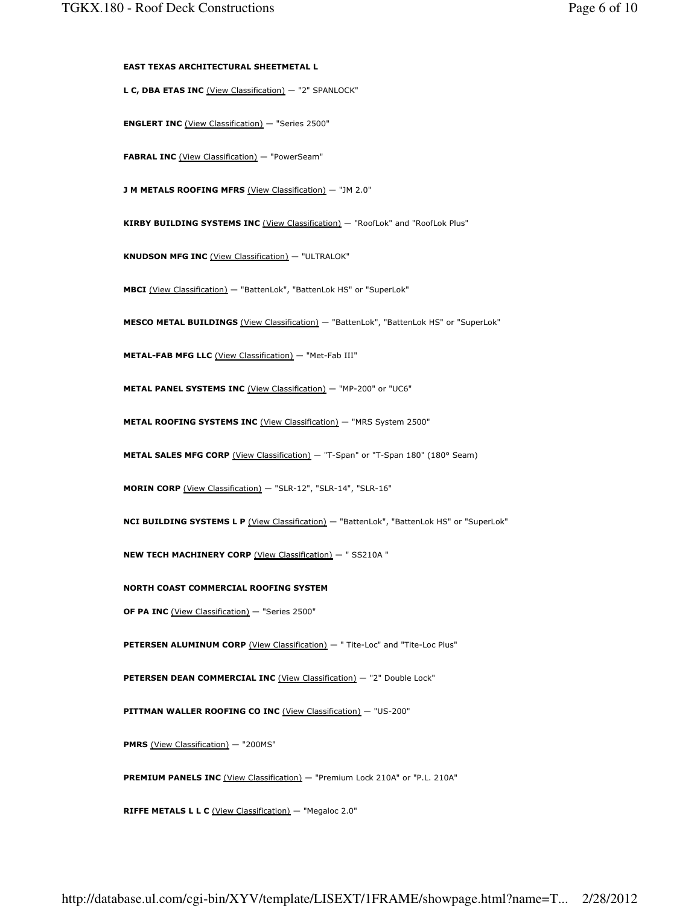### EAST TEXAS ARCHITECTURAL SHEETMETAL L

L C, DBA ETAS INC (View Classification) — "2" SPANLOCK"

ENGLERT INC (View Classification) — "Series 2500"

FABRAL INC (View Classification) - "PowerSeam"

J M METALS ROOFING MFRS (View Classification) - "JM 2.0"

KIRBY BUILDING SYSTEMS INC (View Classification) - "RoofLok" and "RoofLok Plus"

KNUDSON MFG INC (View Classification) — "ULTRALOK"

MBCI (View Classification) — "BattenLok", "BattenLok HS" or "SuperLok"

MESCO METAL BUILDINGS (View Classification) - "BattenLok", "BattenLok HS" or "SuperLok"

METAL-FAB MFG LLC (View Classification) — "Met-Fab III"

METAL PANEL SYSTEMS INC (View Classification) - "MP-200" or "UC6"

METAL ROOFING SYSTEMS INC (View Classification) - "MRS System 2500"

METAL SALES MFG CORP (View Classification) - "T-Span" or "T-Span 180" (180° Seam)

MORIN CORP (View Classification) — "SLR-12", "SLR-14", "SLR-16"

NCI BUILDING SYSTEMS L P (View Classification) - "BattenLok", "BattenLok HS" or "SuperLok"

NEW TECH MACHINERY CORP (View Classification) — " SS210A "

NORTH COAST COMMERCIAL ROOFING SYSTEM

OF PA INC (View Classification) - "Series 2500"

PETERSEN ALUMINUM CORP (View Classification) - " Tite-Loc" and "Tite-Loc Plus"

PETERSEN DEAN COMMERCIAL INC (View Classification) - "2" Double Lock"

PITTMAN WALLER ROOFING CO INC (View Classification) - "US-200"

PMRS (View Classification) - "200MS"

PREMIUM PANELS INC (View Classification) - "Premium Lock 210A" or "P.L. 210A"

RIFFE METALS L L C (View Classification) - "Megaloc 2.0"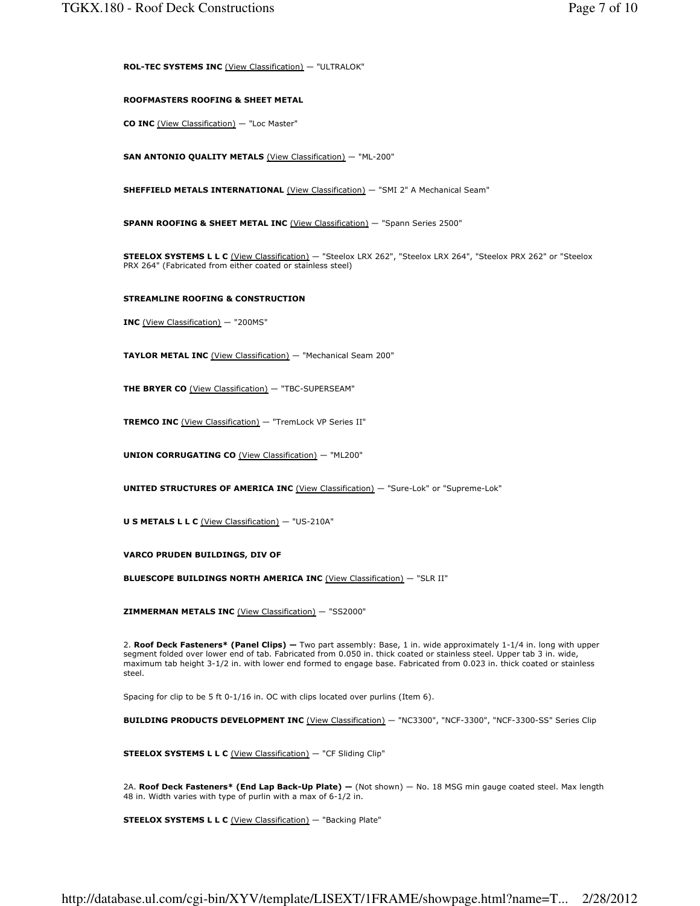ROL-TEC SYSTEMS INC (View Classification) — "ULTRALOK"

### ROOFMASTERS ROOFING & SHEET METAL

CO INC (View Classification) - "Loc Master"

SAN ANTONIO QUALITY METALS (View Classification) - "ML-200"

SHEFFIELD METALS INTERNATIONAL (View Classification) - "SMI 2" A Mechanical Seam"

SPANN ROOFING & SHEET METAL INC (View Classification) - "Spann Series 2500"

STEELOX SYSTEMS L L C (View Classification) — "Steelox LRX 262", "Steelox LRX 264", "Steelox PRX 262" or "Steelox PRX 264" (Fabricated from either coated or stainless steel)

#### STREAMLINE ROOFING & CONSTRUCTION

INC (View Classification) — "200MS"

TAYLOR METAL INC (View Classification) - "Mechanical Seam 200"

THE BRYER CO (View Classification) - "TBC-SUPERSEAM"

TREMCO INC (View Classification) — "TremLock VP Series II"

UNION CORRUGATING CO (View Classification) — "ML200"

UNITED STRUCTURES OF AMERICA INC (View Classification) - "Sure-Lok" or "Supreme-Lok"

U S METALS L L C (View Classification) — "US-210A"

VARCO PRUDEN BUILDINGS, DIV OF

BLUESCOPE BUILDINGS NORTH AMERICA INC (View Classification) - "SLR II"

ZIMMERMAN METALS INC (View Classification) — "SS2000"

2. Roof Deck Fasteners\* (Panel Clips) — Two part assembly: Base, 1 in. wide approximately 1-1/4 in. long with upper segment folded over lower end of tab. Fabricated from 0.050 in. thick coated or stainless steel. Upper tab 3 in. wide, maximum tab height 3-1/2 in. with lower end formed to engage base. Fabricated from 0.023 in. thick coated or stainless steel.

Spacing for clip to be 5 ft 0-1/16 in. OC with clips located over purlins (Item 6).

BUILDING PRODUCTS DEVELOPMENT INC (View Classification) - "NC3300", "NCF-3300", "NCF-3300-SS" Series Clip

STEELOX SYSTEMS L L C (View Classification) - "CF Sliding Clip"

2A. Roof Deck Fasteners\* (End Lap Back-Up Plate) - (Not shown) - No. 18 MSG min gauge coated steel. Max length 48 in. Width varies with type of purlin with a max of 6-1/2 in.

STEELOX SYSTEMS L L C (View Classification) — "Backing Plate"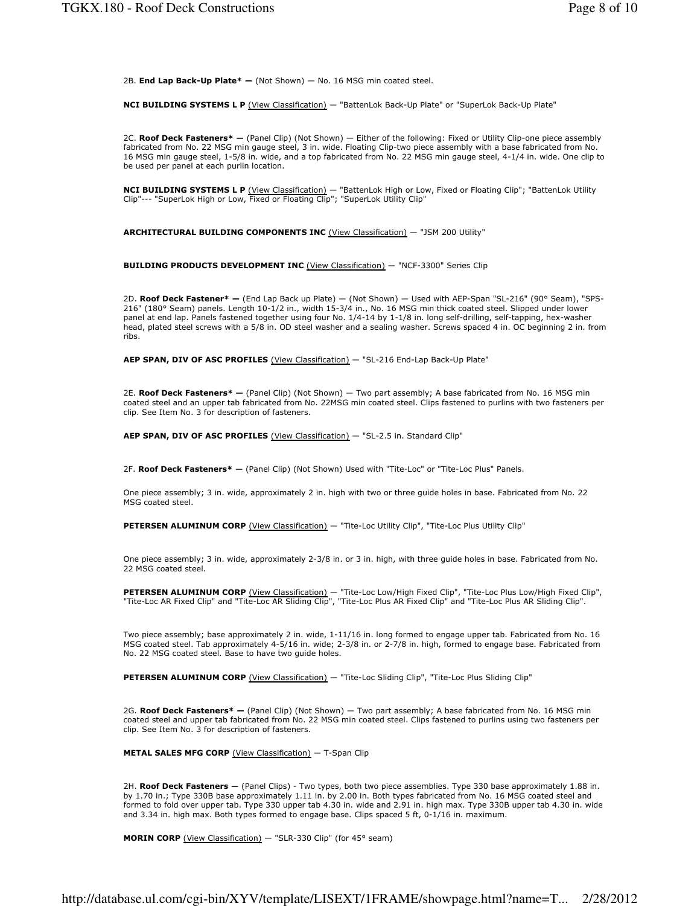2B. End Lap Back-Up Plate\* - (Not Shown) - No. 16 MSG min coated steel.

NCI BUILDING SYSTEMS L P (View Classification) - "BattenLok Back-Up Plate" or "SuperLok Back-Up Plate"

2C. Roof Deck Fasteners\* - (Panel Clip) (Not Shown) - Either of the following: Fixed or Utility Clip-one piece assembly fabricated from No. 22 MSG min gauge steel, 3 in. wide. Floating Clip-two piece assembly with a base fabricated from No. 16 MSG min gauge steel, 1-5/8 in. wide, and a top fabricated from No. 22 MSG min gauge steel, 4-1/4 in. wide. One clip to be used per panel at each purlin location.

NCI BUILDING SYSTEMS L P (View Classification) — "BattenLok High or Low, Fixed or Floating Clip"; "BattenLok Utility Clip"--- "SuperLok High or Low, Fixed or Floating Clip"; "SuperLok Utility Clip"

ARCHITECTURAL BUILDING COMPONENTS INC (View Classification) - "JSM 200 Utility"

BUILDING PRODUCTS DEVELOPMENT INC (View Classification) - "NCF-3300" Series Clip

2D. Roof Deck Fastener\* - (End Lap Back up Plate) - (Not Shown) - Used with AEP-Span "SL-216" (90° Seam), "SPS-216" (180° Seam) panels. Length 10-1/2 in., width 15-3/4 in., No. 16 MSG min thick coated steel. Slipped under lower panel at end lap. Panels fastened together using four No. 1/4-14 by 1-1/8 in. long self-drilling, self-tapping, hex-washer head, plated steel screws with a 5/8 in. OD steel washer and a sealing washer. Screws spaced 4 in. OC beginning 2 in. from ribs.

AEP SPAN, DIV OF ASC PROFILES (View Classification) - "SL-216 End-Lap Back-Up Plate"

2E. Roof Deck Fasteners\* — (Panel Clip) (Not Shown) — Two part assembly; A base fabricated from No. 16 MSG min coated steel and an upper tab fabricated from No. 22MSG min coated steel. Clips fastened to purlins with two fasteners per clip. See Item No. 3 for description of fasteners.

AEP SPAN, DIV OF ASC PROFILES (View Classification) - "SL-2.5 in. Standard Clip"

2F. Roof Deck Fasteners\* - (Panel Clip) (Not Shown) Used with "Tite-Loc" or "Tite-Loc Plus" Panels.

One piece assembly; 3 in. wide, approximately 2 in. high with two or three guide holes in base. Fabricated from No. 22 MSG coated steel.

PETERSEN ALUMINUM CORP (View Classification) — "Tite-Loc Utility Clip", "Tite-Loc Plus Utility Clip"

One piece assembly; 3 in. wide, approximately 2-3/8 in. or 3 in. high, with three guide holes in base. Fabricated from No. 22 MSG coated steel.

PETERSEN ALUMINUM CORP (View Classification) — "Tite-Loc Low/High Fixed Clip", "Tite-Loc Plus Low/High Fixed Clip", "Tite-Loc AR Fixed Clip" and "Tite-Loc AR Sliding Clip", "Tite-Loc Plus AR Fixed Clip" and "Tite-Loc Plus AR Sliding Clip".

Two piece assembly; base approximately 2 in. wide, 1-11/16 in. long formed to engage upper tab. Fabricated from No. 16 MSG coated steel. Tab approximately 4-5/16 in. wide; 2-3/8 in. or 2-7/8 in. high, formed to engage base. Fabricated from No. 22 MSG coated steel. Base to have two guide holes.

PETERSEN ALUMINUM CORP (View Classification) - "Tite-Loc Sliding Clip", "Tite-Loc Plus Sliding Clip"

2G. Roof Deck Fasteners\* — (Panel Clip) (Not Shown) — Two part assembly; A base fabricated from No. 16 MSG min coated steel and upper tab fabricated from No. 22 MSG min coated steel. Clips fastened to purlins using two fasteners per clip. See Item No. 3 for description of fasteners.

METAL SALES MFG CORP (View Classification) - T-Span Clip

2H. Roof Deck Fasteners — (Panel Clips) - Two types, both two piece assemblies. Type 330 base approximately 1.88 in. by 1.70 in.; Type 330B base approximately 1.11 in. by 2.00 in. Both types fabricated from No. 16 MSG coated steel and formed to fold over upper tab. Type 330 upper tab 4.30 in. wide and 2.91 in. high max. Type 330B upper tab 4.30 in. wide and 3.34 in. high max. Both types formed to engage base. Clips spaced 5 ft, 0-1/16 in. maximum.

MORIN CORP (View Classification) — "SLR-330 Clip" (for 45° seam)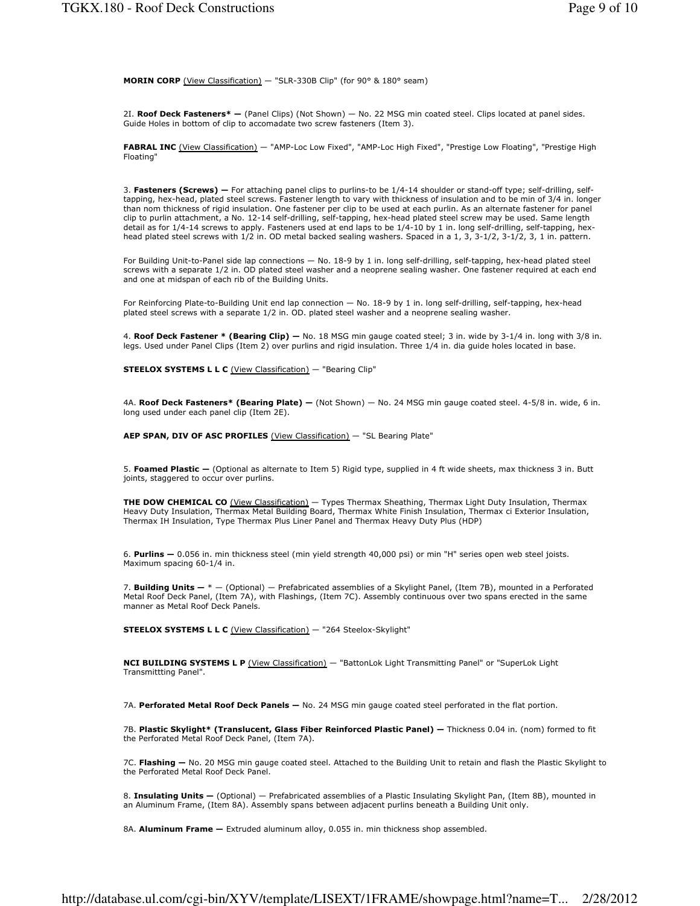MORIN CORP (View Classification) — "SLR-330B Clip" (for 90° & 180° seam)

2I. Roof Deck Fasteners\*  $-$  (Panel Clips) (Not Shown)  $-$  No. 22 MSG min coated steel. Clips located at panel sides. Guide Holes in bottom of clip to accomadate two screw fasteners (Item 3).

FABRAL INC (View Classification) — "AMP-Loc Low Fixed", "AMP-Loc High Fixed", "Prestige Low Floating", "Prestige High Floating"

3. Fasteners (Screws) - For attaching panel clips to purlins-to be 1/4-14 shoulder or stand-off type; self-drilling, selftapping, hex-head, plated steel screws. Fastener length to vary with thickness of insulation and to be min of 3/4 in. longer than nom thickness of rigid insulation. One fastener per clip to be used at each purlin. As an alternate fastener for panel clip to purlin attachment, a No. 12-14 self-drilling, self-tapping, hex-head plated steel screw may be used. Same length detail as for 1/4-14 screws to apply. Fasteners used at end laps to be 1/4-10 by 1 in. long self-drilling, self-tapping, hexhead plated steel screws with 1/2 in. OD metal backed sealing washers. Spaced in a 1, 3, 3-1/2, 3-1/2, 3, 1 in. pattern.

For Building Unit-to-Panel side lap connections — No. 18-9 by 1 in. long self-drilling, self-tapping, hex-head plated steel screws with a separate 1/2 in. OD plated steel washer and a neoprene sealing washer. One fastener required at each end and one at midspan of each rib of the Building Units.

For Reinforcing Plate-to-Building Unit end lap connection — No. 18-9 by 1 in. long self-drilling, self-tapping, hex-head plated steel screws with a separate 1/2 in. OD. plated steel washer and a neoprene sealing washer.

4. Roof Deck Fastener  $*$  (Bearing Clip) — No. 18 MSG min gauge coated steel; 3 in. wide by 3-1/4 in. long with  $3/8$  in. legs. Used under Panel Clips (Item 2) over purlins and rigid insulation. Three 1/4 in. dia guide holes located in base.

STEELOX SYSTEMS L L C (View Classification) - "Bearing Clip"

4A. Roof Deck Fasteners\* (Bearing Plate) — (Not Shown) — No. 24 MSG min gauge coated steel. 4-5/8 in. wide, 6 in. long used under each panel clip (Item 2E).

AEP SPAN, DIV OF ASC PROFILES (View Classification) - "SL Bearing Plate"

5. Foamed Plastic - (Optional as alternate to Item 5) Rigid type, supplied in 4 ft wide sheets, max thickness 3 in. Butt joints, staggered to occur over purlins.

THE DOW CHEMICAL CO (View Classification) - Types Thermax Sheathing, Thermax Light Duty Insulation, Thermax Heavy Duty Insulation, Thermax Metal Building Board, Thermax White Finish Insulation, Thermax ci Exterior Insulation, Thermax IH Insulation, Type Thermax Plus Liner Panel and Thermax Heavy Duty Plus (HDP)

6. Purlins — 0.056 in. min thickness steel (min yield strength 40,000 psi) or min "H" series open web steel joists. Maximum spacing 60-1/4 in.

7. Building Units  $-$  \*  $-$  (Optional)  $-$  Prefabricated assemblies of a Skylight Panel, (Item 7B), mounted in a Perforated Metal Roof Deck Panel, (Item 7A), with Flashings, (Item 7C). Assembly continuous over two spans erected in the same manner as Metal Roof Deck Panels.

STEELOX SYSTEMS L L C (View Classification) - "264 Steelox-Skylight"

NCI BUILDING SYSTEMS L P (View Classification) - "BattonLok Light Transmitting Panel" or "SuperLok Light Transmittting Panel".

7A. Perforated Metal Roof Deck Panels - No. 24 MSG min gauge coated steel perforated in the flat portion.

7B. Plastic Skylight\* (Translucent, Glass Fiber Reinforced Plastic Panel) - Thickness 0.04 in. (nom) formed to fit the Perforated Metal Roof Deck Panel, (Item 7A).

7C. Flashing - No. 20 MSG min gauge coated steel. Attached to the Building Unit to retain and flash the Plastic Skylight to the Perforated Metal Roof Deck Panel.

8. Insulating Units - (Optional) - Prefabricated assemblies of a Plastic Insulating Skylight Pan, (Item 8B), mounted in an Aluminum Frame, (Item 8A). Assembly spans between adjacent purlins beneath a Building Unit only.

8A. Aluminum Frame - Extruded aluminum alloy, 0.055 in. min thickness shop assembled.